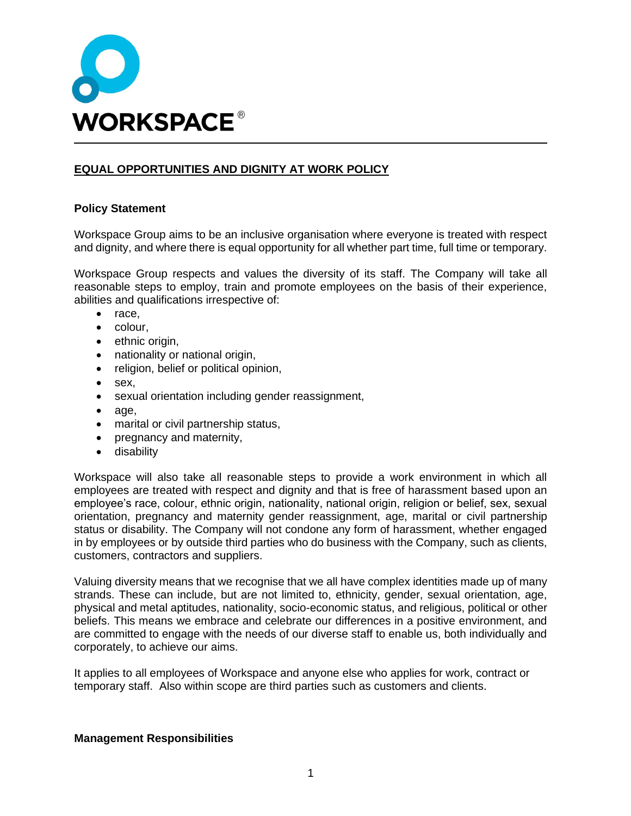

# **EQUAL OPPORTUNITIES AND DIGNITY AT WORK POLICY**

### **Policy Statement**

Workspace Group aims to be an inclusive organisation where everyone is treated with respect and dignity, and where there is equal opportunity for all whether part time, full time or temporary.

Workspace Group respects and values the diversity of its staff. The Company will take all reasonable steps to employ, train and promote employees on the basis of their experience, abilities and qualifications irrespective of:

- race,
- colour,
- ethnic origin,
- nationality or national origin,
- religion, belief or political opinion,
- sex,
- sexual orientation including gender reassignment,
- age,
- marital or civil partnership status,
- pregnancy and maternity,
- disability

Workspace will also take all reasonable steps to provide a work environment in which all employees are treated with respect and dignity and that is free of harassment based upon an employee's race, colour, ethnic origin, nationality, national origin, religion or belief, sex, sexual orientation, pregnancy and maternity gender reassignment, age, marital or civil partnership status or disability. The Company will not condone any form of harassment, whether engaged in by employees or by outside third parties who do business with the Company, such as clients, customers, contractors and suppliers.

Valuing diversity means that we recognise that we all have complex identities made up of many strands. These can include, but are not limited to, ethnicity, gender, sexual orientation, age, physical and metal aptitudes, nationality, socio-economic status, and religious, political or other beliefs. This means we embrace and celebrate our differences in a positive environment, and are committed to engage with the needs of our diverse staff to enable us, both individually and corporately, to achieve our aims.

It applies to all employees of Workspace and anyone else who applies for work, contract or temporary staff. Also within scope are third parties such as customers and clients.

#### **Management Responsibilities**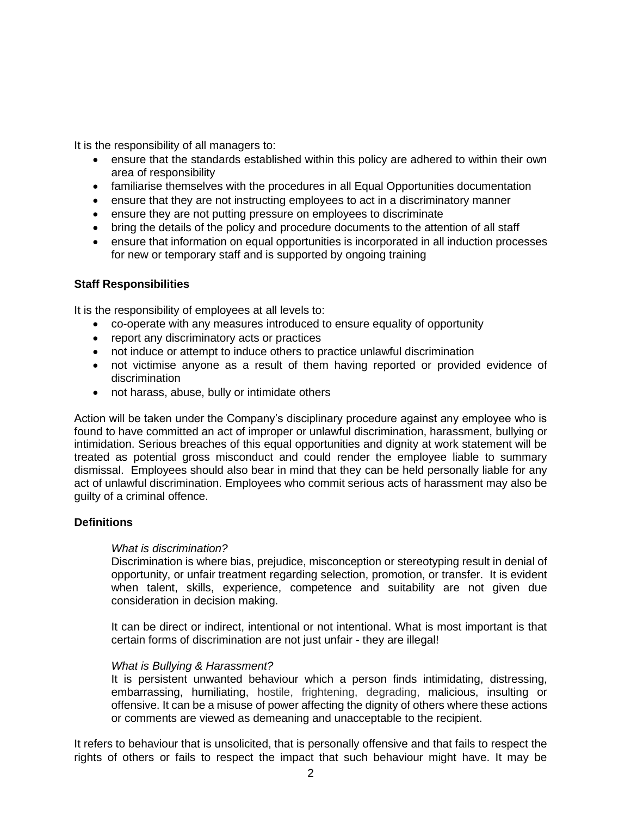It is the responsibility of all managers to:

- ensure that the standards established within this policy are adhered to within their own area of responsibility
- familiarise themselves with the procedures in all Equal Opportunities documentation
- ensure that they are not instructing employees to act in a discriminatory manner
- ensure they are not putting pressure on employees to discriminate
- bring the details of the policy and procedure documents to the attention of all staff
- ensure that information on equal opportunities is incorporated in all induction processes for new or temporary staff and is supported by ongoing training

## **Staff Responsibilities**

It is the responsibility of employees at all levels to:

- co-operate with any measures introduced to ensure equality of opportunity
- report any discriminatory acts or practices
- not induce or attempt to induce others to practice unlawful discrimination
- not victimise anyone as a result of them having reported or provided evidence of discrimination
- not harass, abuse, bully or intimidate others

Action will be taken under the Company's disciplinary procedure against any employee who is found to have committed an act of improper or unlawful discrimination, harassment, bullying or intimidation. Serious breaches of this equal opportunities and dignity at work statement will be treated as potential gross misconduct and could render the employee liable to summary dismissal. Employees should also bear in mind that they can be held personally liable for any act of unlawful discrimination. Employees who commit serious acts of harassment may also be guilty of a criminal offence.

## **Definitions**

### *What is discrimination?*

Discrimination is where bias, prejudice, misconception or stereotyping result in denial of opportunity, or unfair treatment regarding [selection,](http://www.businessdictionary.com/definition/selection.html) promotion, or transfer. It is evident when talent, skills, experience, competence and suitability are not given due consideration in decision making.

It can be direct or indirect, intentional or not intentional. What is most important is that certain forms of discrimination are not just unfair - they are illegal!

### *What is Bullying & Harassment?*

It is persistent unwanted behaviour which a person finds intimidating, distressing, embarrassing, humiliating, hostile, frightening, degrading, malicious, insulting or offensive. It can be a misuse of power affecting the dignity of others where these actions or comments are viewed as demeaning and unacceptable to the recipient.

It refers to behaviour that is unsolicited, that is personally offensive and that fails to respect the rights of others or fails to respect the impact that such behaviour might have. It may be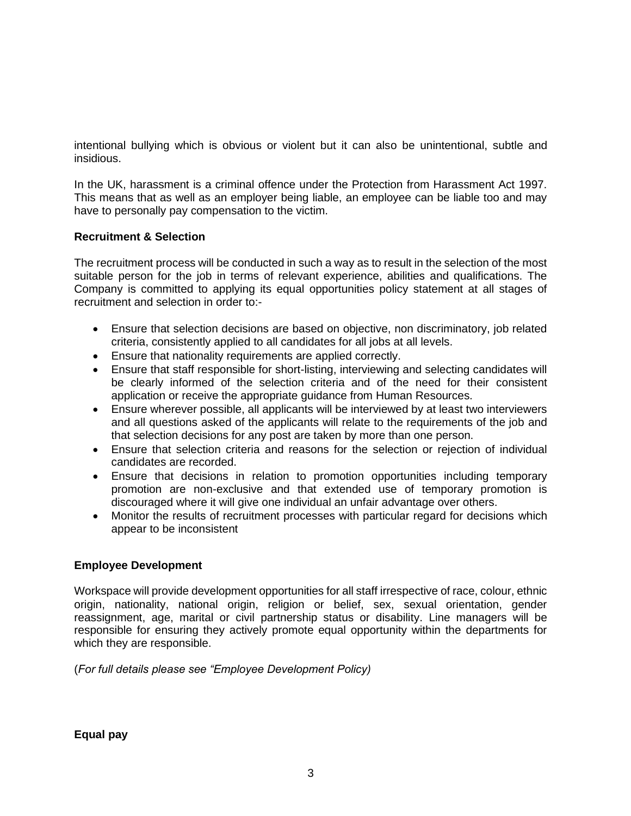intentional bullying which is obvious or violent but it can also be unintentional, subtle and insidious.

In the UK, harassment is a criminal offence under the Protection from Harassment Act 1997. This means that as well as an employer being liable, an employee can be liable too and may have to personally pay compensation to the victim.

## **Recruitment & Selection**

The recruitment process will be conducted in such a way as to result in the selection of the most suitable person for the job in terms of relevant experience, abilities and qualifications. The Company is committed to applying its equal opportunities policy statement at all stages of recruitment and selection in order to:-

- Ensure that selection decisions are based on objective, non discriminatory, job related criteria, consistently applied to all candidates for all jobs at all levels.
- Ensure that nationality requirements are applied correctly.
- Ensure that staff responsible for short-listing, interviewing and selecting candidates will be clearly informed of the selection criteria and of the need for their consistent application or receive the appropriate guidance from Human Resources.
- Ensure wherever possible, all applicants will be interviewed by at least two interviewers and all questions asked of the applicants will relate to the requirements of the job and that selection decisions for any post are taken by more than one person.
- Ensure that selection criteria and reasons for the selection or rejection of individual candidates are recorded.
- Ensure that decisions in relation to promotion opportunities including temporary promotion are non-exclusive and that extended use of temporary promotion is discouraged where it will give one individual an unfair advantage over others.
- Monitor the results of recruitment processes with particular regard for decisions which appear to be inconsistent

## **Employee Development**

Workspace will provide development opportunities for all staff irrespective of race, colour, ethnic origin, nationality, national origin, religion or belief, sex, sexual orientation, gender reassignment, age, marital or civil partnership status or disability. Line managers will be responsible for ensuring they actively promote equal opportunity within the departments for which they are responsible.

(*For full details please see "Employee Development Policy)*

**Equal pay**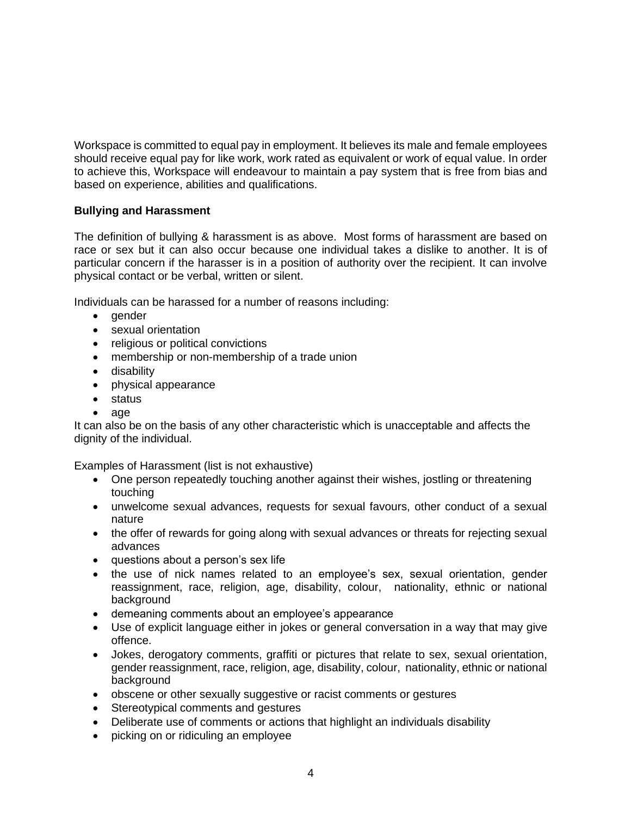Workspace is committed to equal pay in employment. It believes its male and female employees should receive equal pay for like work, work rated as equivalent or work of equal value. In order to achieve this, Workspace will endeavour to maintain a pay system that is free from bias and based on experience, abilities and qualifications.

## **Bullying and Harassment**

The definition of bullying & harassment is as above. Most forms of harassment are based on race or sex but it can also occur because one individual takes a dislike to another. It is of particular concern if the harasser is in a position of authority over the recipient. It can involve physical contact or be verbal, written or silent.

Individuals can be harassed for a number of reasons including:

- gender
- sexual orientation
- religious or political convictions
- membership or non-membership of a trade union
- disability
- physical appearance
- status
- age

It can also be on the basis of any other characteristic which is unacceptable and affects the dignity of the individual.

Examples of Harassment (list is not exhaustive)

- One person repeatedly touching another against their wishes, jostling or threatening touching
- unwelcome sexual advances, requests for sexual favours, other conduct of a sexual nature
- the offer of rewards for going along with sexual advances or threats for rejecting sexual advances
- questions about a person's sex life
- the use of nick names related to an employee's sex, sexual orientation, gender reassignment, race, religion, age, disability, colour, nationality, ethnic or national background
- demeaning comments about an employee's appearance
- Use of explicit language either in jokes or general conversation in a way that may give offence.
- Jokes, derogatory comments, graffiti or pictures that relate to sex, sexual orientation, gender reassignment, race, religion, age, disability, colour, nationality, ethnic or national background
- obscene or other sexually suggestive or racist comments or gestures
- Stereotypical comments and gestures
- Deliberate use of comments or actions that highlight an individuals disability
- picking on or ridiculing an employee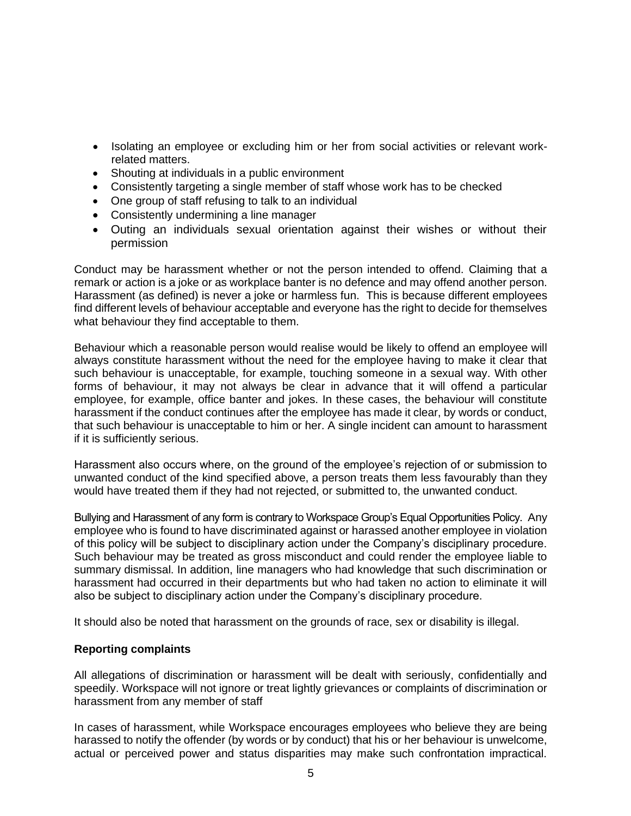- Isolating an employee or excluding him or her from social activities or relevant workrelated matters.
- Shouting at individuals in a public environment
- Consistently targeting a single member of staff whose work has to be checked
- One group of staff refusing to talk to an individual
- Consistently undermining a line manager
- Outing an individuals sexual orientation against their wishes or without their permission

Conduct may be harassment whether or not the person intended to offend. Claiming that a remark or action is a joke or as workplace banter is no defence and may offend another person. Harassment (as defined) is never a joke or harmless fun. This is because different employees find different levels of behaviour acceptable and everyone has the right to decide for themselves what behaviour they find acceptable to them.

Behaviour which a reasonable person would realise would be likely to offend an employee will always constitute harassment without the need for the employee having to make it clear that such behaviour is unacceptable, for example, touching someone in a sexual way. With other forms of behaviour, it may not always be clear in advance that it will offend a particular employee, for example, office banter and jokes. In these cases, the behaviour will constitute harassment if the conduct continues after the employee has made it clear, by words or conduct, that such behaviour is unacceptable to him or her. A single incident can amount to harassment if it is sufficiently serious.

Harassment also occurs where, on the ground of the employee's rejection of or submission to unwanted conduct of the kind specified above, a person treats them less favourably than they would have treated them if they had not rejected, or submitted to, the unwanted conduct.

Bullying and Harassment of any form is contrary to Workspace Group's Equal Opportunities Policy. Any employee who is found to have discriminated against or harassed another employee in violation of this policy will be subject to disciplinary action under the Company's disciplinary procedure. Such behaviour may be treated as gross misconduct and could render the employee liable to summary dismissal. In addition, line managers who had knowledge that such discrimination or harassment had occurred in their departments but who had taken no action to eliminate it will also be subject to disciplinary action under the Company's disciplinary procedure.

It should also be noted that harassment on the grounds of race, sex or disability is illegal.

### **Reporting complaints**

All allegations of discrimination or harassment will be dealt with seriously, confidentially and speedily. Workspace will not ignore or treat lightly grievances or complaints of discrimination or harassment from any member of staff

In cases of harassment, while Workspace encourages employees who believe they are being harassed to notify the offender (by words or by conduct) that his or her behaviour is unwelcome, actual or perceived power and status disparities may make such confrontation impractical.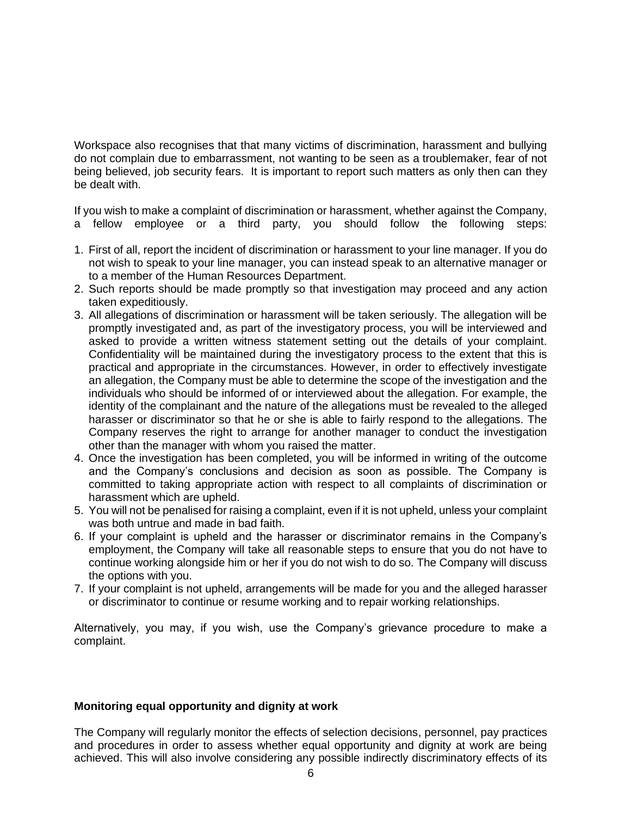Workspace also recognises that that many victims of discrimination, harassment and bullying do not complain due to embarrassment, not wanting to be seen as a troublemaker, fear of not being believed, job security fears. It is important to report such matters as only then can they be dealt with.

If you wish to make a complaint of discrimination or harassment, whether against the Company, a fellow employee or a third party, you should follow the following steps:

- 1. First of all, report the incident of discrimination or harassment to your line manager. If you do not wish to speak to your line manager, you can instead speak to an alternative manager or to a member of the Human Resources Department.
- 2. Such reports should be made promptly so that investigation may proceed and any action taken expeditiously.
- 3. All allegations of discrimination or harassment will be taken seriously. The allegation will be promptly investigated and, as part of the investigatory process, you will be interviewed and asked to provide a written witness statement setting out the details of your complaint. Confidentiality will be maintained during the investigatory process to the extent that this is practical and appropriate in the circumstances. However, in order to effectively investigate an allegation, the Company must be able to determine the scope of the investigation and the individuals who should be informed of or interviewed about the allegation. For example, the identity of the complainant and the nature of the allegations must be revealed to the alleged harasser or discriminator so that he or she is able to fairly respond to the allegations. The Company reserves the right to arrange for another manager to conduct the investigation other than the manager with whom you raised the matter.
- 4. Once the investigation has been completed, you will be informed in writing of the outcome and the Company's conclusions and decision as soon as possible. The Company is committed to taking appropriate action with respect to all complaints of discrimination or harassment which are upheld.
- 5. You will not be penalised for raising a complaint, even if it is not upheld, unless your complaint was both untrue and made in bad faith.
- 6. If your complaint is upheld and the harasser or discriminator remains in the Company's employment, the Company will take all reasonable steps to ensure that you do not have to continue working alongside him or her if you do not wish to do so. The Company will discuss the options with you.
- 7. If your complaint is not upheld, arrangements will be made for you and the alleged harasser or discriminator to continue or resume working and to repair working relationships.

Alternatively, you may, if you wish, use the Company's grievance procedure to make a complaint.

### **Monitoring equal opportunity and dignity at work**

The Company will regularly monitor the effects of selection decisions, personnel, pay practices and procedures in order to assess whether equal opportunity and dignity at work are being achieved. This will also involve considering any possible indirectly discriminatory effects of its